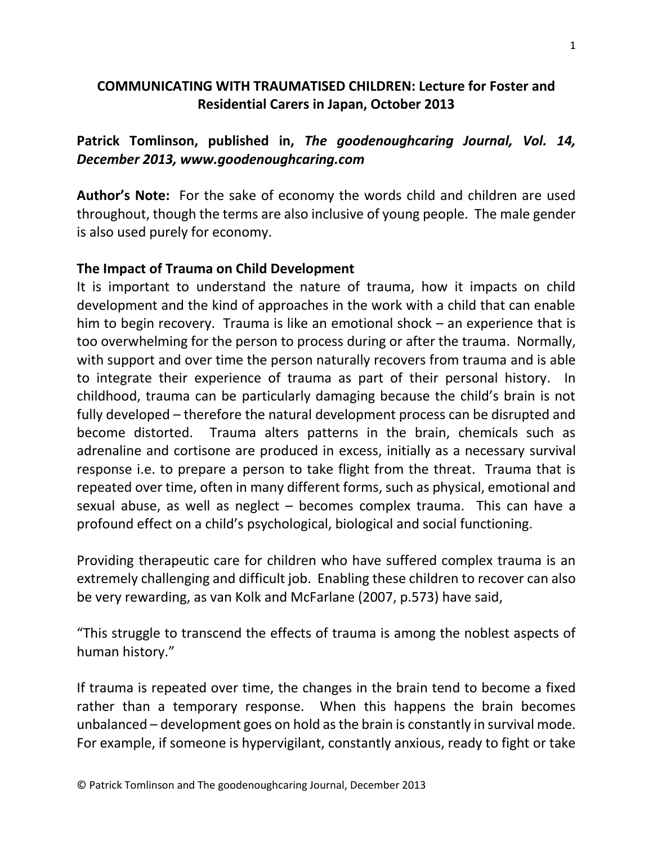## **COMMUNICATING WITH TRAUMATISED CHILDREN: Lecture for Foster and Residential Carers in Japan, October 2013**

**Patrick Tomlinson, published in,** *The goodenoughcaring Journal, Vol. 14, December 2013, www.goodenoughcaring.com*

**Author's Note:** For the sake of economy the words child and children are used throughout, though the terms are also inclusive of young people. The male gender is also used purely for economy.

#### **The Impact of Trauma on Child Development**

It is important to understand the nature of trauma, how it impacts on child development and the kind of approaches in the work with a child that can enable him to begin recovery. Trauma is like an emotional shock – an experience that is too overwhelming for the person to process during or after the trauma. Normally, with support and over time the person naturally recovers from trauma and is able to integrate their experience of trauma as part of their personal history. In childhood, trauma can be particularly damaging because the child's brain is not fully developed – therefore the natural development process can be disrupted and become distorted. Trauma alters patterns in the brain, chemicals such as adrenaline and cortisone are produced in excess, initially as a necessary survival response i.e. to prepare a person to take flight from the threat. Trauma that is repeated over time, often in many different forms, such as physical, emotional and sexual abuse, as well as neglect – becomes complex trauma. This can have a profound effect on a child's psychological, biological and social functioning.

Providing therapeutic care for children who have suffered complex trauma is an extremely challenging and difficult job. Enabling these children to recover can also be very rewarding, as van Kolk and McFarlane (2007, p.573) have said,

"This struggle to transcend the effects of trauma is among the noblest aspects of human history."

If trauma is repeated over time, the changes in the brain tend to become a fixed rather than a temporary response. When this happens the brain becomes unbalanced – development goes on hold as the brain is constantly in survival mode. For example, if someone is hypervigilant, constantly anxious, ready to fight or take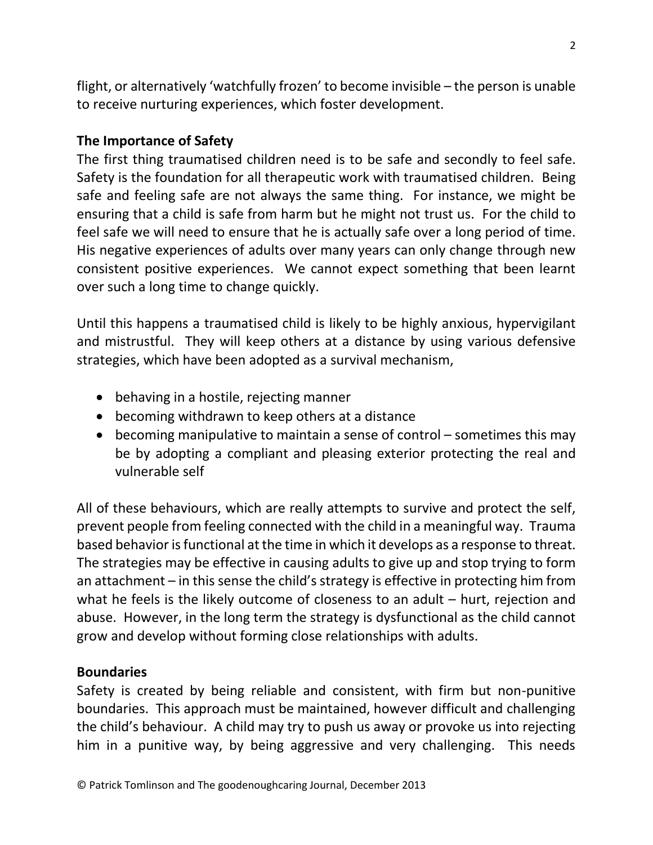flight, or alternatively 'watchfully frozen' to become invisible – the person is unable to receive nurturing experiences, which foster development.

## **The Importance of Safety**

The first thing traumatised children need is to be safe and secondly to feel safe. Safety is the foundation for all therapeutic work with traumatised children. Being safe and feeling safe are not always the same thing. For instance, we might be ensuring that a child is safe from harm but he might not trust us. For the child to feel safe we will need to ensure that he is actually safe over a long period of time. His negative experiences of adults over many years can only change through new consistent positive experiences. We cannot expect something that been learnt over such a long time to change quickly.

Until this happens a traumatised child is likely to be highly anxious, hypervigilant and mistrustful. They will keep others at a distance by using various defensive strategies, which have been adopted as a survival mechanism,

- behaving in a hostile, rejecting manner
- becoming withdrawn to keep others at a distance
- becoming manipulative to maintain a sense of control sometimes this may be by adopting a compliant and pleasing exterior protecting the real and vulnerable self

All of these behaviours, which are really attempts to survive and protect the self, prevent people from feeling connected with the child in a meaningful way. Trauma based behavior is functional at the time in which it develops as a response to threat. The strategies may be effective in causing adults to give up and stop trying to form an attachment – in this sense the child's strategy is effective in protecting him from what he feels is the likely outcome of closeness to an adult – hurt, rejection and abuse. However, in the long term the strategy is dysfunctional as the child cannot grow and develop without forming close relationships with adults.

#### **Boundaries**

Safety is created by being reliable and consistent, with firm but non-punitive boundaries. This approach must be maintained, however difficult and challenging the child's behaviour. A child may try to push us away or provoke us into rejecting him in a punitive way, by being aggressive and very challenging. This needs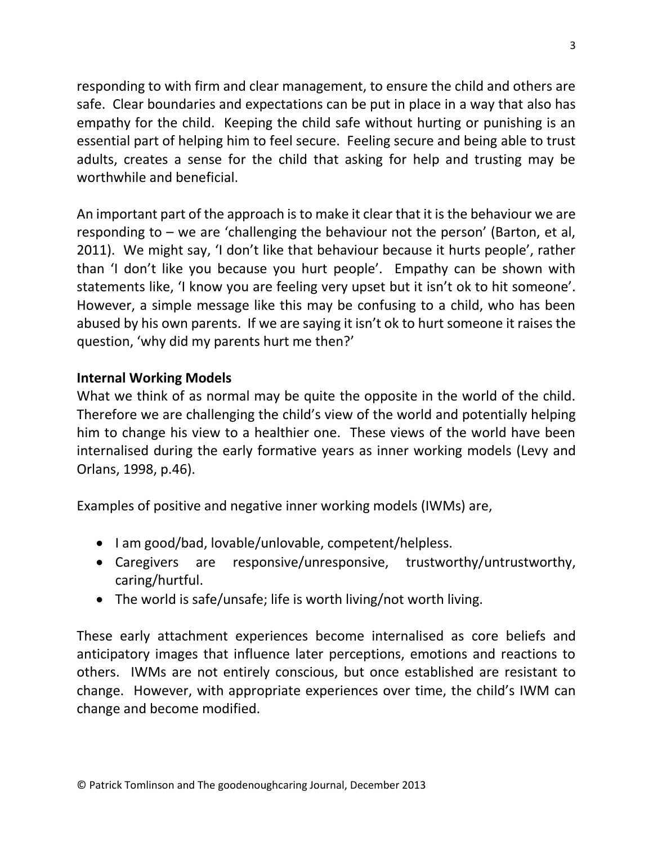responding to with firm and clear management, to ensure the child and others are safe. Clear boundaries and expectations can be put in place in a way that also has empathy for the child. Keeping the child safe without hurting or punishing is an essential part of helping him to feel secure. Feeling secure and being able to trust adults, creates a sense for the child that asking for help and trusting may be worthwhile and beneficial.

An important part of the approach is to make it clear that it is the behaviour we are responding to – we are 'challenging the behaviour not the person' (Barton, et al, 2011). We might say, 'I don't like that behaviour because it hurts people', rather than 'I don't like you because you hurt people'. Empathy can be shown with statements like, 'I know you are feeling very upset but it isn't ok to hit someone'. However, a simple message like this may be confusing to a child, who has been abused by his own parents. If we are saying it isn't ok to hurt someone it raises the question, 'why did my parents hurt me then?'

## **Internal Working Models**

What we think of as normal may be quite the opposite in the world of the child. Therefore we are challenging the child's view of the world and potentially helping him to change his view to a healthier one. These views of the world have been internalised during the early formative years as inner working models (Levy and Orlans, 1998, p.46).

Examples of positive and negative inner working models (IWMs) are,

- I am good/bad, lovable/unlovable, competent/helpless.
- Caregivers are responsive/unresponsive, trustworthy/untrustworthy, caring/hurtful.
- The world is safe/unsafe; life is worth living/not worth living.

These early attachment experiences become internalised as core beliefs and anticipatory images that influence later perceptions, emotions and reactions to others. IWMs are not entirely conscious, but once established are resistant to change. However, with appropriate experiences over time, the child's IWM can change and become modified.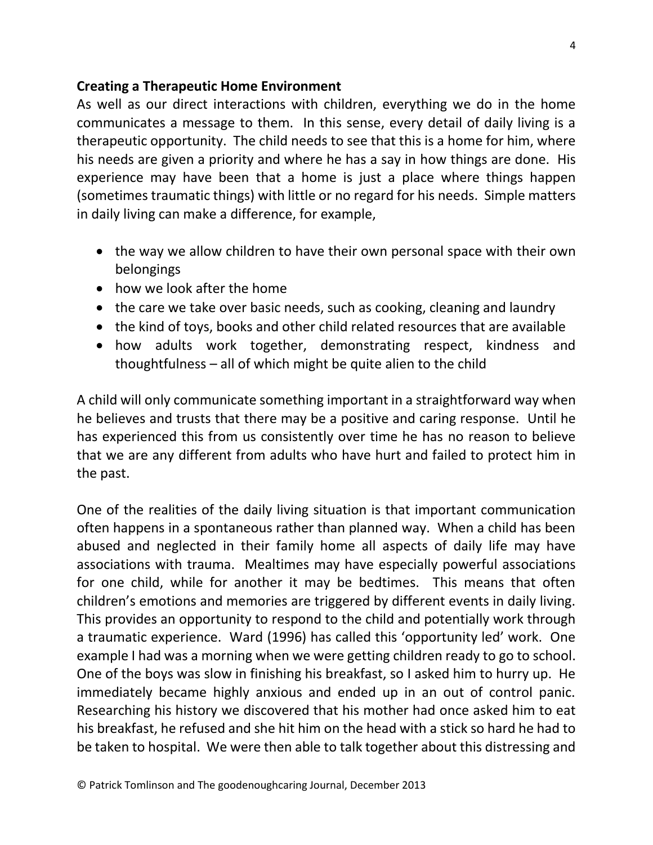#### **Creating a Therapeutic Home Environment**

As well as our direct interactions with children, everything we do in the home communicates a message to them. In this sense, every detail of daily living is a therapeutic opportunity. The child needs to see that this is a home for him, where his needs are given a priority and where he has a say in how things are done. His experience may have been that a home is just a place where things happen (sometimes traumatic things) with little or no regard for his needs. Simple matters in daily living can make a difference, for example,

- the way we allow children to have their own personal space with their own belongings
- how we look after the home
- the care we take over basic needs, such as cooking, cleaning and laundry
- the kind of toys, books and other child related resources that are available
- how adults work together, demonstrating respect, kindness and thoughtfulness – all of which might be quite alien to the child

A child will only communicate something important in a straightforward way when he believes and trusts that there may be a positive and caring response. Until he has experienced this from us consistently over time he has no reason to believe that we are any different from adults who have hurt and failed to protect him in the past.

One of the realities of the daily living situation is that important communication often happens in a spontaneous rather than planned way. When a child has been abused and neglected in their family home all aspects of daily life may have associations with trauma. Mealtimes may have especially powerful associations for one child, while for another it may be bedtimes. This means that often children's emotions and memories are triggered by different events in daily living. This provides an opportunity to respond to the child and potentially work through a traumatic experience. Ward (1996) has called this 'opportunity led' work. One example I had was a morning when we were getting children ready to go to school. One of the boys was slow in finishing his breakfast, so I asked him to hurry up. He immediately became highly anxious and ended up in an out of control panic. Researching his history we discovered that his mother had once asked him to eat his breakfast, he refused and she hit him on the head with a stick so hard he had to be taken to hospital. We were then able to talk together about this distressing and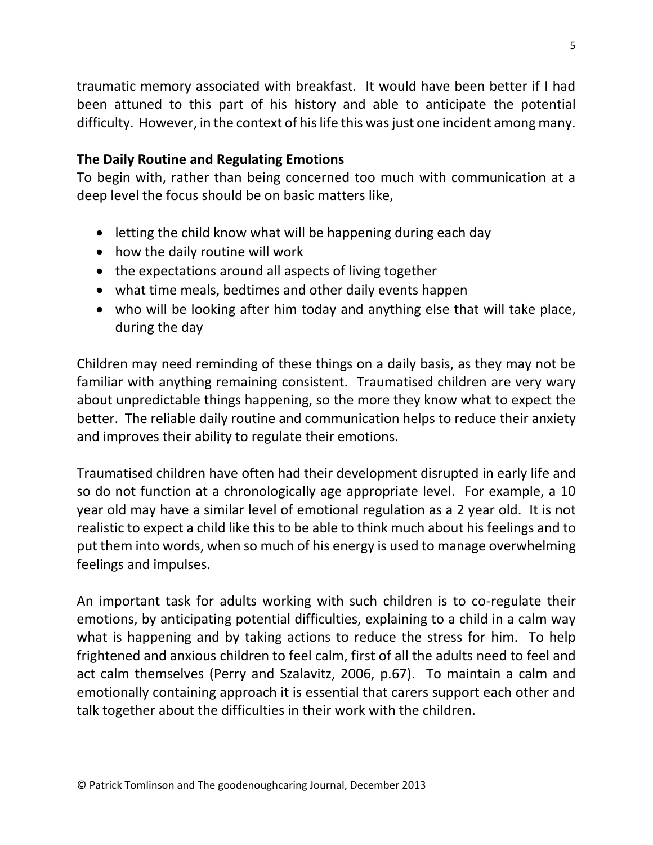traumatic memory associated with breakfast. It would have been better if I had been attuned to this part of his history and able to anticipate the potential difficulty. However, in the context of his life this was just one incident among many.

#### **The Daily Routine and Regulating Emotions**

To begin with, rather than being concerned too much with communication at a deep level the focus should be on basic matters like,

- $\bullet$  letting the child know what will be happening during each day
- how the daily routine will work
- the expectations around all aspects of living together
- what time meals, bedtimes and other daily events happen
- who will be looking after him today and anything else that will take place, during the day

Children may need reminding of these things on a daily basis, as they may not be familiar with anything remaining consistent. Traumatised children are very wary about unpredictable things happening, so the more they know what to expect the better. The reliable daily routine and communication helps to reduce their anxiety and improves their ability to regulate their emotions.

Traumatised children have often had their development disrupted in early life and so do not function at a chronologically age appropriate level. For example, a 10 year old may have a similar level of emotional regulation as a 2 year old. It is not realistic to expect a child like this to be able to think much about his feelings and to put them into words, when so much of his energy is used to manage overwhelming feelings and impulses.

An important task for adults working with such children is to co-regulate their emotions, by anticipating potential difficulties, explaining to a child in a calm way what is happening and by taking actions to reduce the stress for him. To help frightened and anxious children to feel calm, first of all the adults need to feel and act calm themselves (Perry and Szalavitz, 2006, p.67). To maintain a calm and emotionally containing approach it is essential that carers support each other and talk together about the difficulties in their work with the children.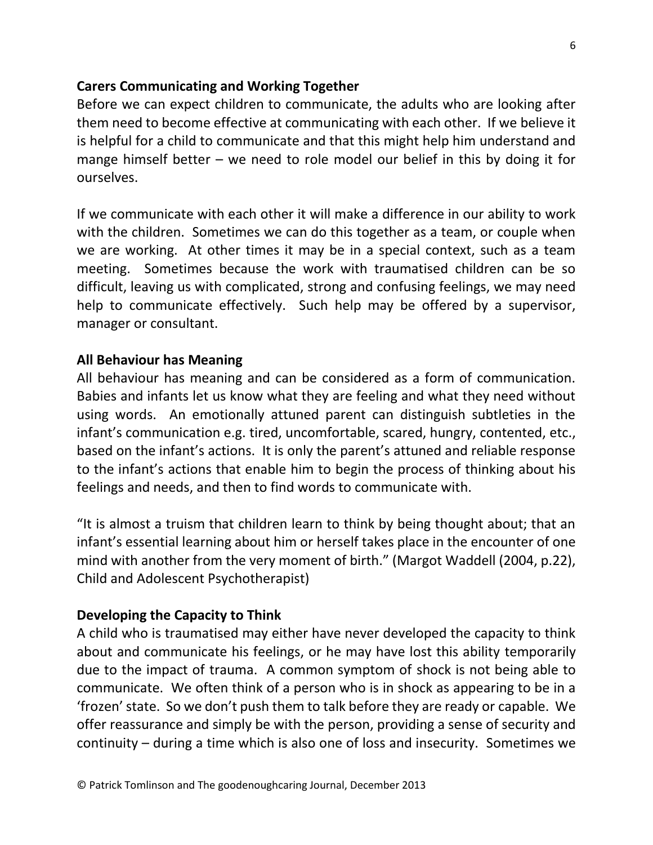#### **Carers Communicating and Working Together**

Before we can expect children to communicate, the adults who are looking after them need to become effective at communicating with each other. If we believe it is helpful for a child to communicate and that this might help him understand and mange himself better – we need to role model our belief in this by doing it for ourselves.

If we communicate with each other it will make a difference in our ability to work with the children. Sometimes we can do this together as a team, or couple when we are working. At other times it may be in a special context, such as a team meeting. Sometimes because the work with traumatised children can be so difficult, leaving us with complicated, strong and confusing feelings, we may need help to communicate effectively. Such help may be offered by a supervisor, manager or consultant.

#### **All Behaviour has Meaning**

All behaviour has meaning and can be considered as a form of communication. Babies and infants let us know what they are feeling and what they need without using words. An emotionally attuned parent can distinguish subtleties in the infant's communication e.g. tired, uncomfortable, scared, hungry, contented, etc., based on the infant's actions. It is only the parent's attuned and reliable response to the infant's actions that enable him to begin the process of thinking about his feelings and needs, and then to find words to communicate with.

"It is almost a truism that children learn to think by being thought about; that an infant's essential learning about him or herself takes place in the encounter of one mind with another from the very moment of birth." (Margot Waddell (2004, p.22), Child and Adolescent Psychotherapist)

#### **Developing the Capacity to Think**

A child who is traumatised may either have never developed the capacity to think about and communicate his feelings, or he may have lost this ability temporarily due to the impact of trauma. A common symptom of shock is not being able to communicate. We often think of a person who is in shock as appearing to be in a 'frozen' state. So we don't push them to talk before they are ready or capable. We offer reassurance and simply be with the person, providing a sense of security and continuity – during a time which is also one of loss and insecurity. Sometimes we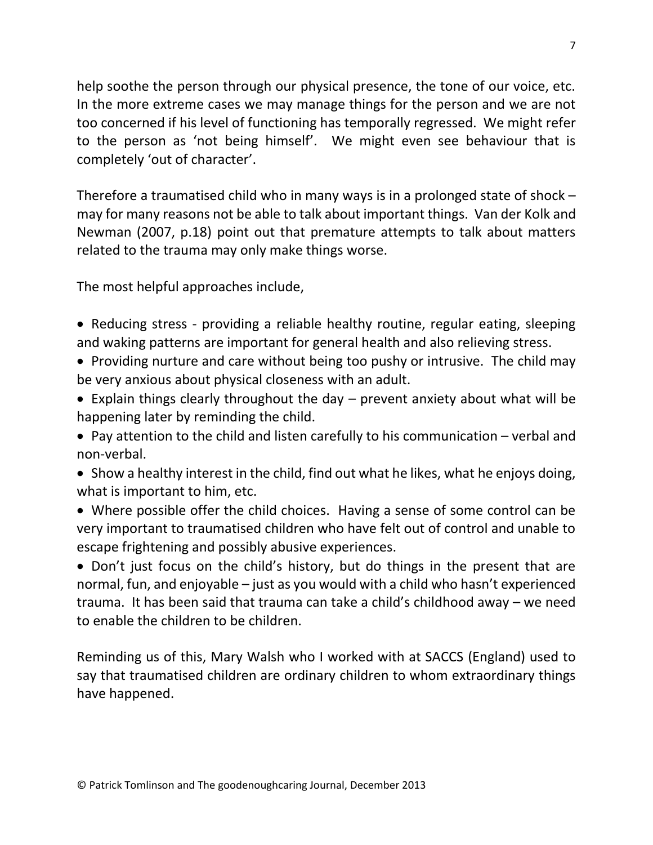help soothe the person through our physical presence, the tone of our voice, etc. In the more extreme cases we may manage things for the person and we are not too concerned if his level of functioning has temporally regressed. We might refer to the person as 'not being himself'. We might even see behaviour that is completely 'out of character'.

Therefore a traumatised child who in many ways is in a prolonged state of shock – may for many reasons not be able to talk about important things. Van der Kolk and Newman (2007, p.18) point out that premature attempts to talk about matters related to the trauma may only make things worse.

The most helpful approaches include,

- Reducing stress providing a reliable healthy routine, regular eating, sleeping and waking patterns are important for general health and also relieving stress.
- Providing nurture and care without being too pushy or intrusive. The child may be very anxious about physical closeness with an adult.
- Explain things clearly throughout the day prevent anxiety about what will be happening later by reminding the child.

 Pay attention to the child and listen carefully to his communication – verbal and non-verbal.

- Show a healthy interest in the child, find out what he likes, what he enjoys doing, what is important to him, etc.
- Where possible offer the child choices. Having a sense of some control can be very important to traumatised children who have felt out of control and unable to escape frightening and possibly abusive experiences.

• Don't just focus on the child's history, but do things in the present that are normal, fun, and enjoyable – just as you would with a child who hasn't experienced trauma. It has been said that trauma can take a child's childhood away – we need to enable the children to be children.

Reminding us of this, Mary Walsh who I worked with at SACCS (England) used to say that traumatised children are ordinary children to whom extraordinary things have happened.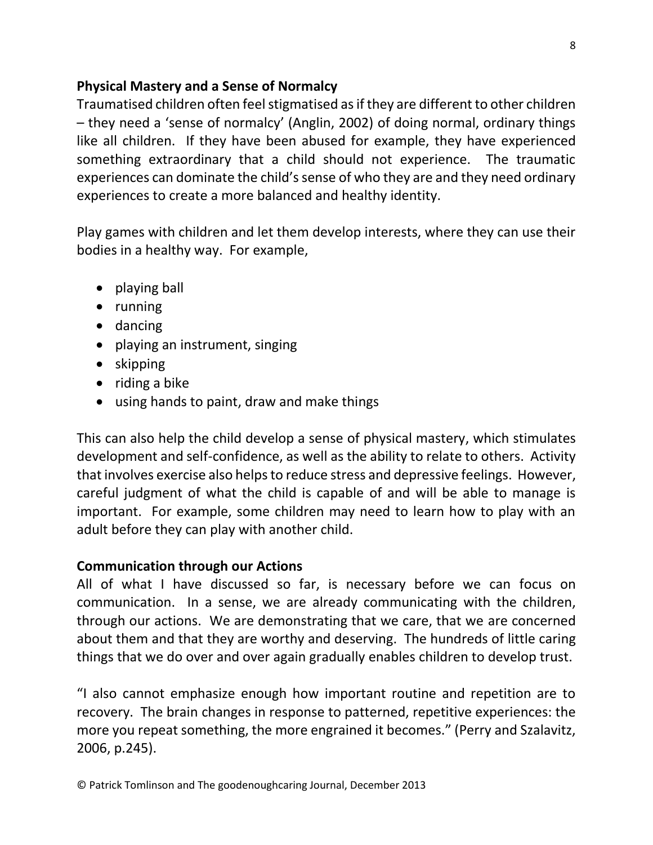## **Physical Mastery and a Sense of Normalcy**

Traumatised children often feel stigmatised as if they are different to other children – they need a 'sense of normalcy' (Anglin, 2002) of doing normal, ordinary things like all children. If they have been abused for example, they have experienced something extraordinary that a child should not experience. The traumatic experiences can dominate the child's sense of who they are and they need ordinary experiences to create a more balanced and healthy identity.

Play games with children and let them develop interests, where they can use their bodies in a healthy way. For example,

- playing ball
- running
- dancing
- playing an instrument, singing
- skipping
- $\bullet$  riding a bike
- using hands to paint, draw and make things

This can also help the child develop a sense of physical mastery, which stimulates development and self-confidence, as well as the ability to relate to others. Activity that involves exercise also helps to reduce stress and depressive feelings. However, careful judgment of what the child is capable of and will be able to manage is important. For example, some children may need to learn how to play with an adult before they can play with another child.

## **Communication through our Actions**

All of what I have discussed so far, is necessary before we can focus on communication. In a sense, we are already communicating with the children, through our actions. We are demonstrating that we care, that we are concerned about them and that they are worthy and deserving. The hundreds of little caring things that we do over and over again gradually enables children to develop trust.

"I also cannot emphasize enough how important routine and repetition are to recovery. The brain changes in response to patterned, repetitive experiences: the more you repeat something, the more engrained it becomes." (Perry and Szalavitz, 2006, p.245).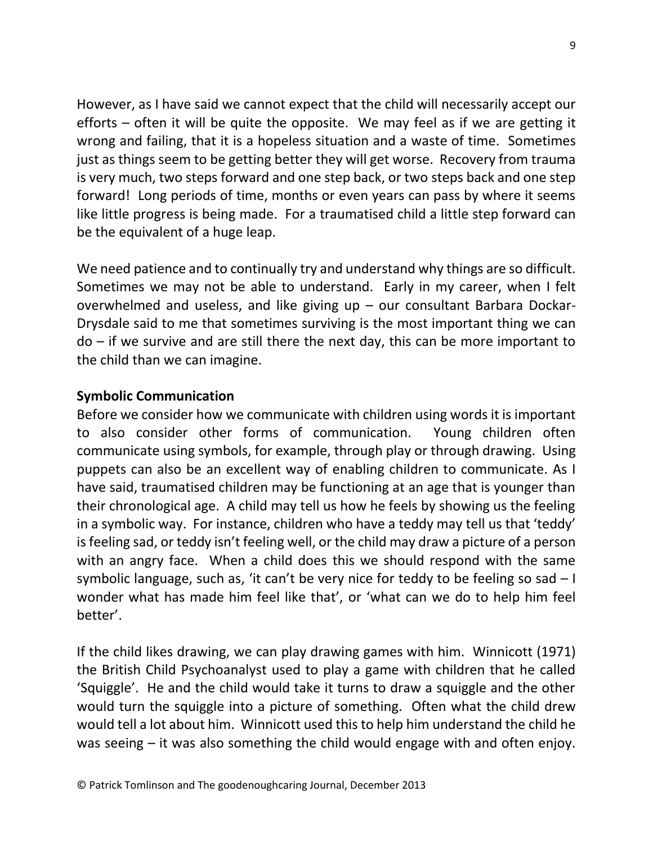However, as I have said we cannot expect that the child will necessarily accept our efforts – often it will be quite the opposite. We may feel as if we are getting it wrong and failing, that it is a hopeless situation and a waste of time. Sometimes just as things seem to be getting better they will get worse. Recovery from trauma is very much, two steps forward and one step back, or two steps back and one step forward! Long periods of time, months or even years can pass by where it seems like little progress is being made. For a traumatised child a little step forward can be the equivalent of a huge leap.

We need patience and to continually try and understand why things are so difficult. Sometimes we may not be able to understand. Early in my career, when I felt overwhelmed and useless, and like giving up – our consultant Barbara Dockar-Drysdale said to me that sometimes surviving is the most important thing we can do – if we survive and are still there the next day, this can be more important to the child than we can imagine.

## **Symbolic Communication**

Before we consider how we communicate with children using words it is important to also consider other forms of communication. Young children often communicate using symbols, for example, through play or through drawing. Using puppets can also be an excellent way of enabling children to communicate. As I have said, traumatised children may be functioning at an age that is younger than their chronological age. A child may tell us how he feels by showing us the feeling in a symbolic way. For instance, children who have a teddy may tell us that 'teddy' is feeling sad, or teddy isn't feeling well, or the child may draw a picture of a person with an angry face. When a child does this we should respond with the same symbolic language, such as, 'it can't be very nice for teddy to be feeling so sad  $-1$ wonder what has made him feel like that', or 'what can we do to help him feel better'.

If the child likes drawing, we can play drawing games with him. Winnicott (1971) the British Child Psychoanalyst used to play a game with children that he called 'Squiggle'. He and the child would take it turns to draw a squiggle and the other would turn the squiggle into a picture of something. Often what the child drew would tell a lot about him. Winnicott used this to help him understand the child he was seeing – it was also something the child would engage with and often enjoy.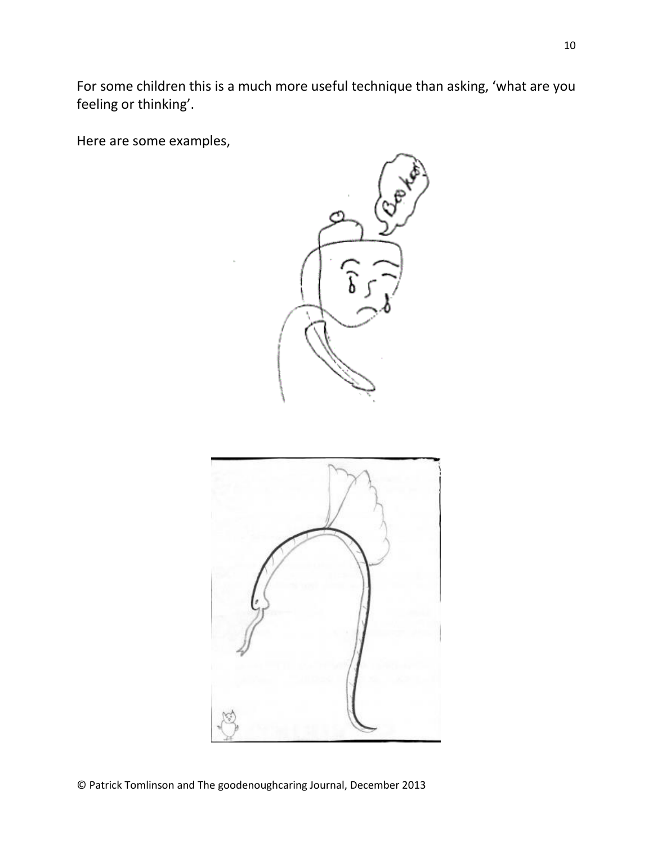For some children this is a much more useful technique than asking, 'what are you feeling or thinking'.

Here are some examples,



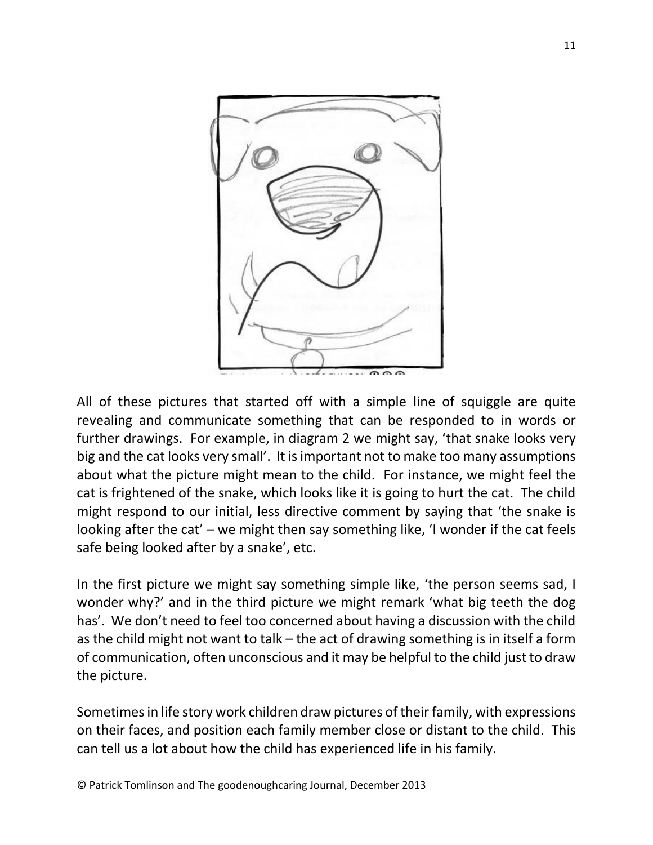

All of these pictures that started off with a simple line of squiggle are quite revealing and communicate something that can be responded to in words or further drawings. For example, in diagram 2 we might say, 'that snake looks very big and the cat looks very small'. It is important not to make too many assumptions about what the picture might mean to the child. For instance, we might feel the cat is frightened of the snake, which looks like it is going to hurt the cat. The child might respond to our initial, less directive comment by saying that 'the snake is looking after the cat' – we might then say something like, 'I wonder if the cat feels safe being looked after by a snake', etc.

In the first picture we might say something simple like, 'the person seems sad, I wonder why?' and in the third picture we might remark 'what big teeth the dog has'. We don't need to feel too concerned about having a discussion with the child as the child might not want to talk – the act of drawing something is in itself a form of communication, often unconscious and it may be helpful to the child just to draw the picture.

Sometimes in life story work children draw pictures of their family, with expressions on their faces, and position each family member close or distant to the child. This can tell us a lot about how the child has experienced life in his family.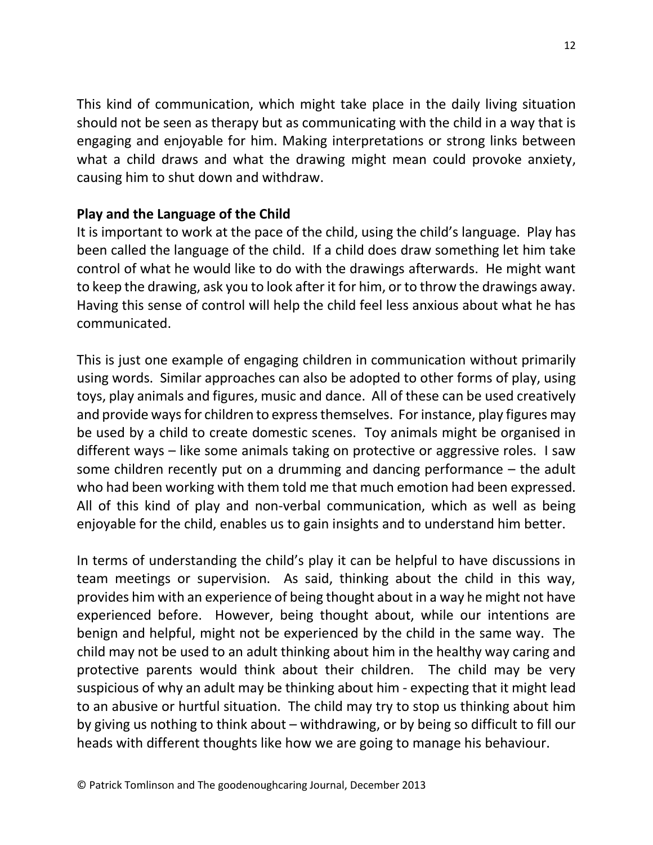This kind of communication, which might take place in the daily living situation should not be seen as therapy but as communicating with the child in a way that is engaging and enjoyable for him. Making interpretations or strong links between what a child draws and what the drawing might mean could provoke anxiety, causing him to shut down and withdraw.

## **Play and the Language of the Child**

It is important to work at the pace of the child, using the child's language. Play has been called the language of the child. If a child does draw something let him take control of what he would like to do with the drawings afterwards. He might want to keep the drawing, ask you to look after it for him, or to throw the drawings away. Having this sense of control will help the child feel less anxious about what he has communicated.

This is just one example of engaging children in communication without primarily using words. Similar approaches can also be adopted to other forms of play, using toys, play animals and figures, music and dance. All of these can be used creatively and provide ways for children to express themselves. For instance, play figures may be used by a child to create domestic scenes. Toy animals might be organised in different ways – like some animals taking on protective or aggressive roles. I saw some children recently put on a drumming and dancing performance – the adult who had been working with them told me that much emotion had been expressed. All of this kind of play and non-verbal communication, which as well as being enjoyable for the child, enables us to gain insights and to understand him better.

In terms of understanding the child's play it can be helpful to have discussions in team meetings or supervision. As said, thinking about the child in this way, provides him with an experience of being thought about in a way he might not have experienced before. However, being thought about, while our intentions are benign and helpful, might not be experienced by the child in the same way. The child may not be used to an adult thinking about him in the healthy way caring and protective parents would think about their children. The child may be very suspicious of why an adult may be thinking about him - expecting that it might lead to an abusive or hurtful situation. The child may try to stop us thinking about him by giving us nothing to think about – withdrawing, or by being so difficult to fill our heads with different thoughts like how we are going to manage his behaviour.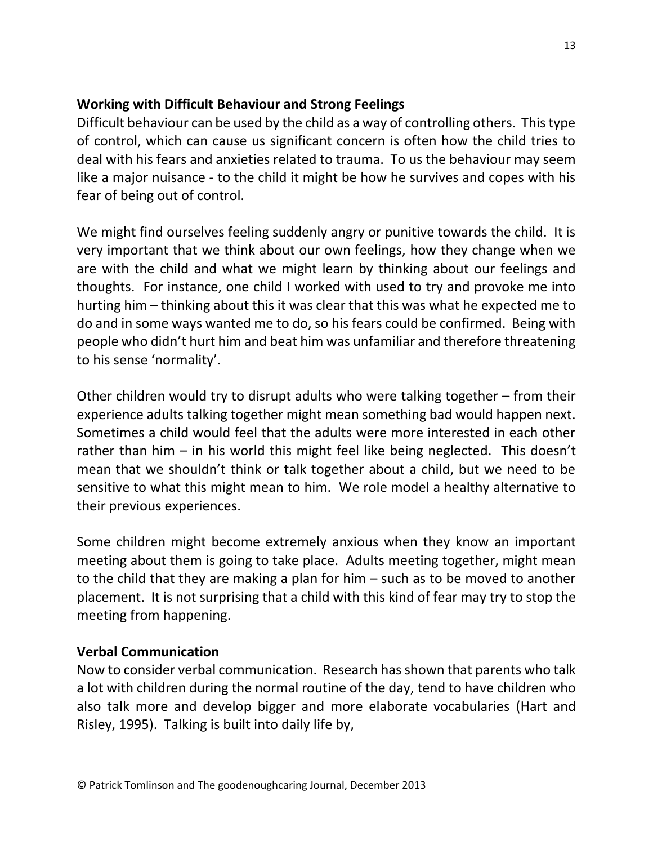## **Working with Difficult Behaviour and Strong Feelings**

Difficult behaviour can be used by the child as a way of controlling others. This type of control, which can cause us significant concern is often how the child tries to deal with his fears and anxieties related to trauma. To us the behaviour may seem like a major nuisance - to the child it might be how he survives and copes with his fear of being out of control.

We might find ourselves feeling suddenly angry or punitive towards the child. It is very important that we think about our own feelings, how they change when we are with the child and what we might learn by thinking about our feelings and thoughts. For instance, one child I worked with used to try and provoke me into hurting him – thinking about this it was clear that this was what he expected me to do and in some ways wanted me to do, so his fears could be confirmed. Being with people who didn't hurt him and beat him was unfamiliar and therefore threatening to his sense 'normality'.

Other children would try to disrupt adults who were talking together – from their experience adults talking together might mean something bad would happen next. Sometimes a child would feel that the adults were more interested in each other rather than him – in his world this might feel like being neglected. This doesn't mean that we shouldn't think or talk together about a child, but we need to be sensitive to what this might mean to him. We role model a healthy alternative to their previous experiences.

Some children might become extremely anxious when they know an important meeting about them is going to take place. Adults meeting together, might mean to the child that they are making a plan for him – such as to be moved to another placement. It is not surprising that a child with this kind of fear may try to stop the meeting from happening.

## **Verbal Communication**

Now to consider verbal communication. Research has shown that parents who talk a lot with children during the normal routine of the day, tend to have children who also talk more and develop bigger and more elaborate vocabularies (Hart and Risley, 1995). Talking is built into daily life by,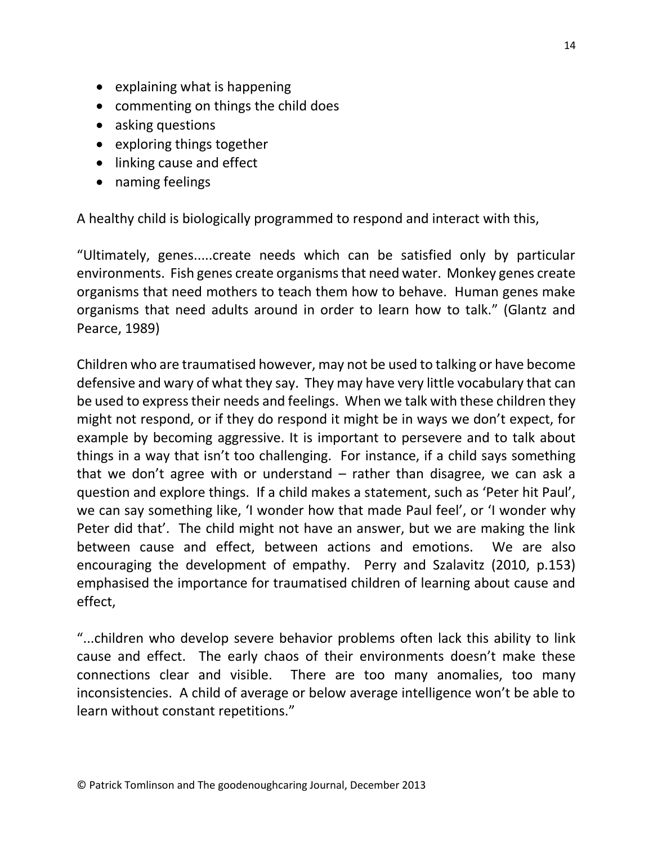- explaining what is happening
- commenting on things the child does
- asking questions
- exploring things together
- linking cause and effect
- naming feelings

A healthy child is biologically programmed to respond and interact with this,

"Ultimately, genes.....create needs which can be satisfied only by particular environments. Fish genes create organisms that need water. Monkey genes create organisms that need mothers to teach them how to behave. Human genes make organisms that need adults around in order to learn how to talk." (Glantz and Pearce, 1989)

Children who are traumatised however, may not be used to talking or have become defensive and wary of what they say. They may have very little vocabulary that can be used to express their needs and feelings. When we talk with these children they might not respond, or if they do respond it might be in ways we don't expect, for example by becoming aggressive. It is important to persevere and to talk about things in a way that isn't too challenging. For instance, if a child says something that we don't agree with or understand  $-$  rather than disagree, we can ask a question and explore things. If a child makes a statement, such as 'Peter hit Paul', we can say something like, 'I wonder how that made Paul feel', or 'I wonder why Peter did that'. The child might not have an answer, but we are making the link between cause and effect, between actions and emotions. We are also encouraging the development of empathy. Perry and Szalavitz (2010, p.153) emphasised the importance for traumatised children of learning about cause and effect,

"...children who develop severe behavior problems often lack this ability to link cause and effect. The early chaos of their environments doesn't make these connections clear and visible. There are too many anomalies, too many inconsistencies. A child of average or below average intelligence won't be able to learn without constant repetitions."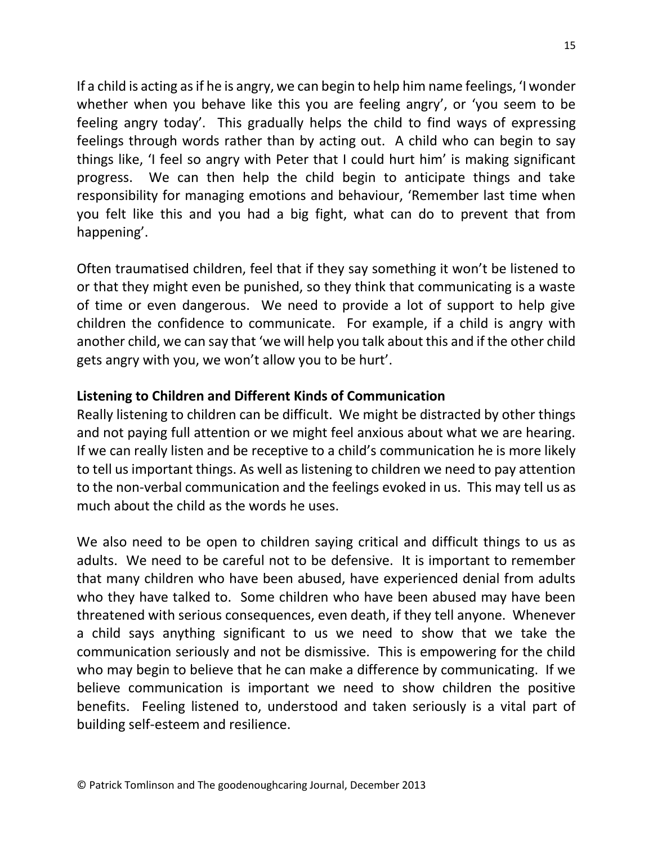If a child is acting as if he is angry, we can begin to help him name feelings, 'I wonder whether when you behave like this you are feeling angry', or 'you seem to be feeling angry today'. This gradually helps the child to find ways of expressing feelings through words rather than by acting out. A child who can begin to say things like, 'I feel so angry with Peter that I could hurt him' is making significant progress. We can then help the child begin to anticipate things and take responsibility for managing emotions and behaviour, 'Remember last time when you felt like this and you had a big fight, what can do to prevent that from happening'.

Often traumatised children, feel that if they say something it won't be listened to or that they might even be punished, so they think that communicating is a waste of time or even dangerous. We need to provide a lot of support to help give children the confidence to communicate. For example, if a child is angry with another child, we can say that 'we will help you talk about this and if the other child gets angry with you, we won't allow you to be hurt'.

## **Listening to Children and Different Kinds of Communication**

Really listening to children can be difficult. We might be distracted by other things and not paying full attention or we might feel anxious about what we are hearing. If we can really listen and be receptive to a child's communication he is more likely to tell us important things. As well as listening to children we need to pay attention to the non-verbal communication and the feelings evoked in us. This may tell us as much about the child as the words he uses.

We also need to be open to children saying critical and difficult things to us as adults. We need to be careful not to be defensive. It is important to remember that many children who have been abused, have experienced denial from adults who they have talked to. Some children who have been abused may have been threatened with serious consequences, even death, if they tell anyone. Whenever a child says anything significant to us we need to show that we take the communication seriously and not be dismissive. This is empowering for the child who may begin to believe that he can make a difference by communicating. If we believe communication is important we need to show children the positive benefits. Feeling listened to, understood and taken seriously is a vital part of building self-esteem and resilience.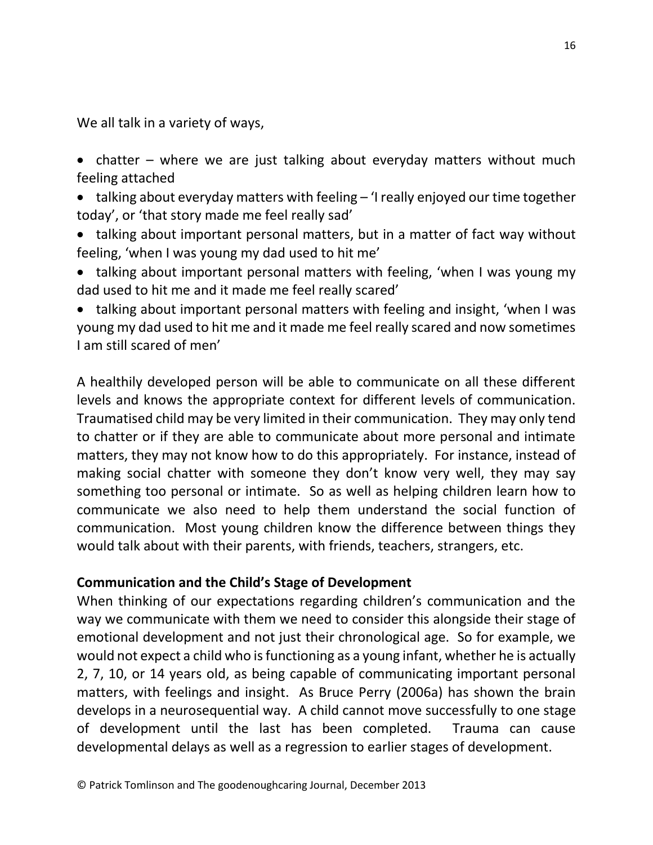We all talk in a variety of ways,

- chatter where we are just talking about everyday matters without much feeling attached
- talking about everyday matters with feeling 'I really enjoyed our time together today', or 'that story made me feel really sad'
- talking about important personal matters, but in a matter of fact way without feeling, 'when I was young my dad used to hit me'
- talking about important personal matters with feeling, 'when I was young my dad used to hit me and it made me feel really scared'
- talking about important personal matters with feeling and insight, 'when I was young my dad used to hit me and it made me feel really scared and now sometimes I am still scared of men'

A healthily developed person will be able to communicate on all these different levels and knows the appropriate context for different levels of communication. Traumatised child may be very limited in their communication. They may only tend to chatter or if they are able to communicate about more personal and intimate matters, they may not know how to do this appropriately. For instance, instead of making social chatter with someone they don't know very well, they may say something too personal or intimate. So as well as helping children learn how to communicate we also need to help them understand the social function of communication. Most young children know the difference between things they would talk about with their parents, with friends, teachers, strangers, etc.

## **Communication and the Child's Stage of Development**

When thinking of our expectations regarding children's communication and the way we communicate with them we need to consider this alongside their stage of emotional development and not just their chronological age. So for example, we would not expect a child who is functioning as a young infant, whether he is actually 2, 7, 10, or 14 years old, as being capable of communicating important personal matters, with feelings and insight. As Bruce Perry (2006a) has shown the brain develops in a neurosequential way. A child cannot move successfully to one stage of development until the last has been completed. Trauma can cause developmental delays as well as a regression to earlier stages of development.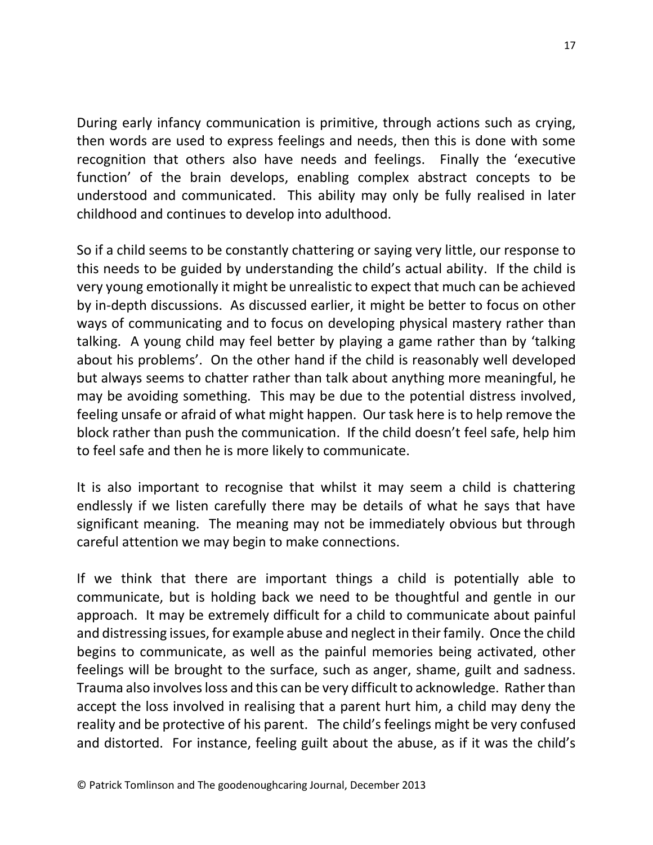During early infancy communication is primitive, through actions such as crying, then words are used to express feelings and needs, then this is done with some recognition that others also have needs and feelings. Finally the 'executive function' of the brain develops, enabling complex abstract concepts to be understood and communicated. This ability may only be fully realised in later childhood and continues to develop into adulthood.

So if a child seems to be constantly chattering or saying very little, our response to this needs to be guided by understanding the child's actual ability. If the child is very young emotionally it might be unrealistic to expect that much can be achieved by in-depth discussions. As discussed earlier, it might be better to focus on other ways of communicating and to focus on developing physical mastery rather than talking. A young child may feel better by playing a game rather than by 'talking about his problems'. On the other hand if the child is reasonably well developed but always seems to chatter rather than talk about anything more meaningful, he may be avoiding something. This may be due to the potential distress involved, feeling unsafe or afraid of what might happen. Our task here is to help remove the block rather than push the communication. If the child doesn't feel safe, help him to feel safe and then he is more likely to communicate.

It is also important to recognise that whilst it may seem a child is chattering endlessly if we listen carefully there may be details of what he says that have significant meaning. The meaning may not be immediately obvious but through careful attention we may begin to make connections.

If we think that there are important things a child is potentially able to communicate, but is holding back we need to be thoughtful and gentle in our approach. It may be extremely difficult for a child to communicate about painful and distressing issues, for example abuse and neglect in their family. Once the child begins to communicate, as well as the painful memories being activated, other feelings will be brought to the surface, such as anger, shame, guilt and sadness. Trauma also involves loss and this can be very difficult to acknowledge. Rather than accept the loss involved in realising that a parent hurt him, a child may deny the reality and be protective of his parent. The child's feelings might be very confused and distorted. For instance, feeling guilt about the abuse, as if it was the child's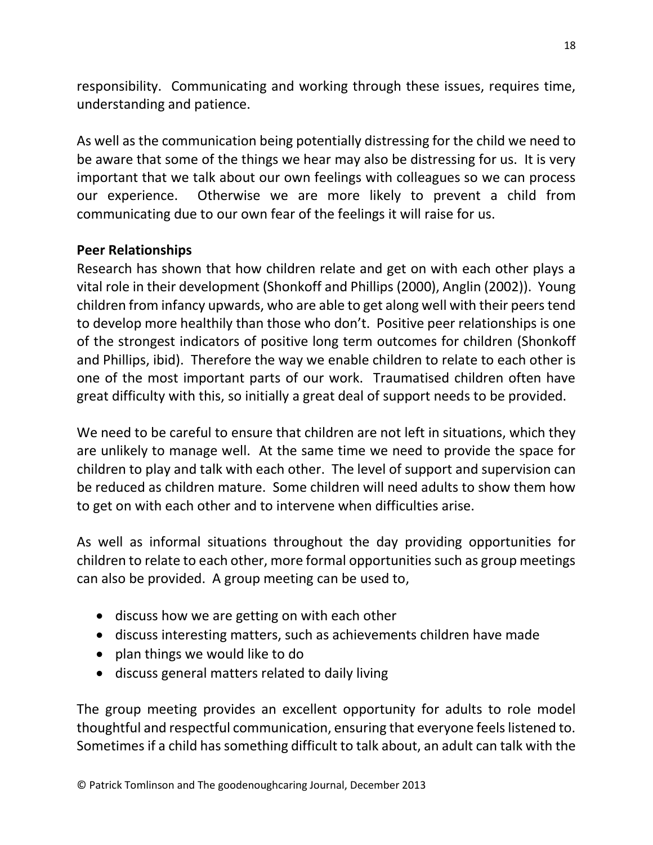responsibility. Communicating and working through these issues, requires time, understanding and patience.

As well as the communication being potentially distressing for the child we need to be aware that some of the things we hear may also be distressing for us. It is very important that we talk about our own feelings with colleagues so we can process our experience. Otherwise we are more likely to prevent a child from communicating due to our own fear of the feelings it will raise for us.

## **Peer Relationships**

Research has shown that how children relate and get on with each other plays a vital role in their development (Shonkoff and Phillips (2000), Anglin (2002)). Young children from infancy upwards, who are able to get along well with their peers tend to develop more healthily than those who don't. Positive peer relationships is one of the strongest indicators of positive long term outcomes for children (Shonkoff and Phillips, ibid). Therefore the way we enable children to relate to each other is one of the most important parts of our work. Traumatised children often have great difficulty with this, so initially a great deal of support needs to be provided.

We need to be careful to ensure that children are not left in situations, which they are unlikely to manage well. At the same time we need to provide the space for children to play and talk with each other. The level of support and supervision can be reduced as children mature. Some children will need adults to show them how to get on with each other and to intervene when difficulties arise.

As well as informal situations throughout the day providing opportunities for children to relate to each other, more formal opportunities such as group meetings can also be provided. A group meeting can be used to,

- discuss how we are getting on with each other
- discuss interesting matters, such as achievements children have made
- plan things we would like to do
- discuss general matters related to daily living

The group meeting provides an excellent opportunity for adults to role model thoughtful and respectful communication, ensuring that everyone feels listened to. Sometimes if a child has something difficult to talk about, an adult can talk with the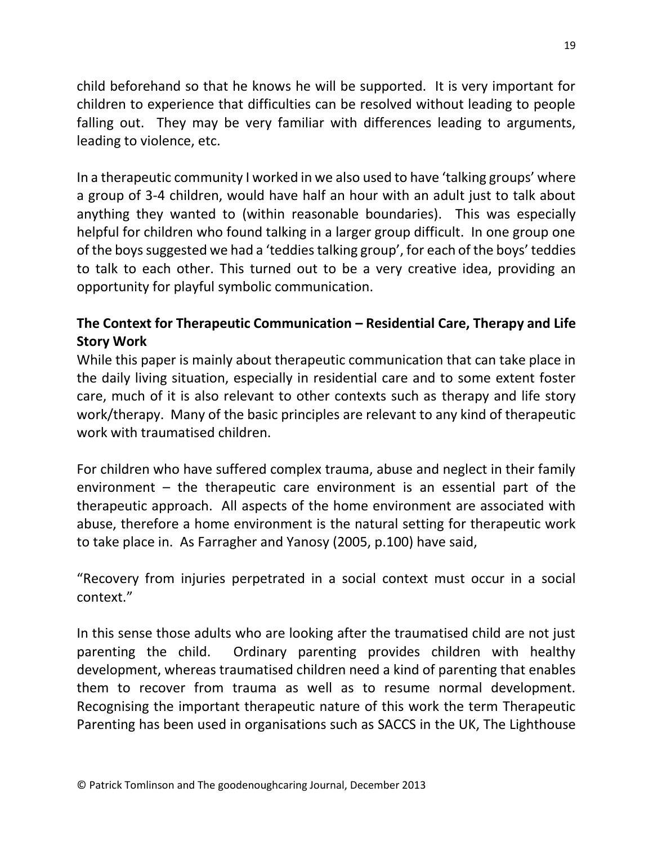child beforehand so that he knows he will be supported. It is very important for children to experience that difficulties can be resolved without leading to people falling out. They may be very familiar with differences leading to arguments, leading to violence, etc.

In a therapeutic community I worked in we also used to have 'talking groups' where a group of 3-4 children, would have half an hour with an adult just to talk about anything they wanted to (within reasonable boundaries). This was especially helpful for children who found talking in a larger group difficult. In one group one of the boys suggested we had a 'teddies talking group', for each of the boys' teddies to talk to each other. This turned out to be a very creative idea, providing an opportunity for playful symbolic communication.

# **The Context for Therapeutic Communication – Residential Care, Therapy and Life Story Work**

While this paper is mainly about therapeutic communication that can take place in the daily living situation, especially in residential care and to some extent foster care, much of it is also relevant to other contexts such as therapy and life story work/therapy. Many of the basic principles are relevant to any kind of therapeutic work with traumatised children.

For children who have suffered complex trauma, abuse and neglect in their family environment  $-$  the therapeutic care environment is an essential part of the therapeutic approach. All aspects of the home environment are associated with abuse, therefore a home environment is the natural setting for therapeutic work to take place in. As Farragher and Yanosy (2005, p.100) have said,

"Recovery from injuries perpetrated in a social context must occur in a social context."

In this sense those adults who are looking after the traumatised child are not just parenting the child. Ordinary parenting provides children with healthy development, whereas traumatised children need a kind of parenting that enables them to recover from trauma as well as to resume normal development. Recognising the important therapeutic nature of this work the term Therapeutic Parenting has been used in organisations such as SACCS in the UK, The Lighthouse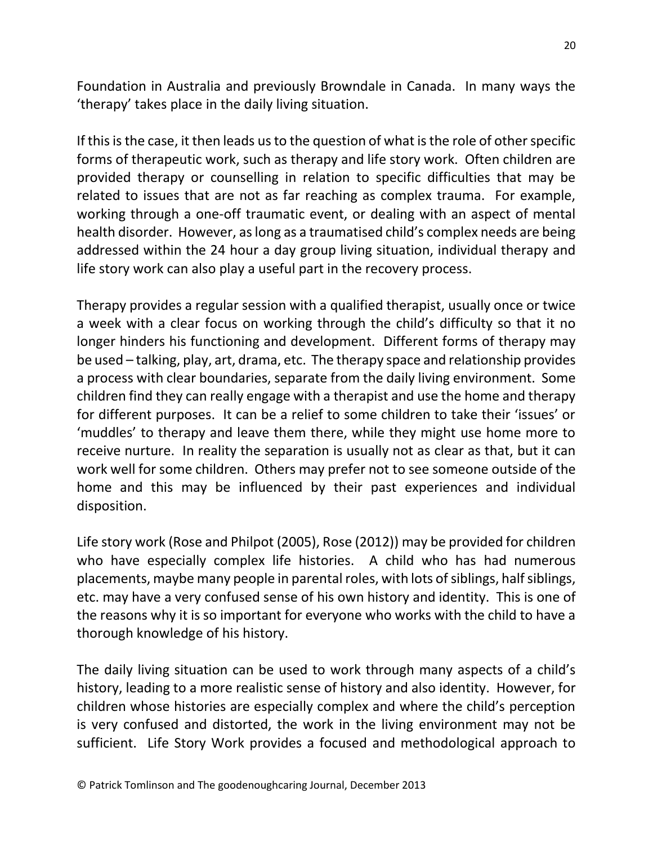Foundation in Australia and previously Browndale in Canada. In many ways the 'therapy' takes place in the daily living situation.

If this is the case, it then leads us to the question of what is the role of other specific forms of therapeutic work, such as therapy and life story work. Often children are provided therapy or counselling in relation to specific difficulties that may be related to issues that are not as far reaching as complex trauma. For example, working through a one-off traumatic event, or dealing with an aspect of mental health disorder. However, as long as a traumatised child's complex needs are being addressed within the 24 hour a day group living situation, individual therapy and life story work can also play a useful part in the recovery process.

Therapy provides a regular session with a qualified therapist, usually once or twice a week with a clear focus on working through the child's difficulty so that it no longer hinders his functioning and development. Different forms of therapy may be used – talking, play, art, drama, etc. The therapy space and relationship provides a process with clear boundaries, separate from the daily living environment. Some children find they can really engage with a therapist and use the home and therapy for different purposes. It can be a relief to some children to take their 'issues' or 'muddles' to therapy and leave them there, while they might use home more to receive nurture. In reality the separation is usually not as clear as that, but it can work well for some children. Others may prefer not to see someone outside of the home and this may be influenced by their past experiences and individual disposition.

Life story work (Rose and Philpot (2005), Rose (2012)) may be provided for children who have especially complex life histories. A child who has had numerous placements, maybe many people in parental roles, with lots of siblings, half siblings, etc. may have a very confused sense of his own history and identity. This is one of the reasons why it is so important for everyone who works with the child to have a thorough knowledge of his history.

The daily living situation can be used to work through many aspects of a child's history, leading to a more realistic sense of history and also identity. However, for children whose histories are especially complex and where the child's perception is very confused and distorted, the work in the living environment may not be sufficient. Life Story Work provides a focused and methodological approach to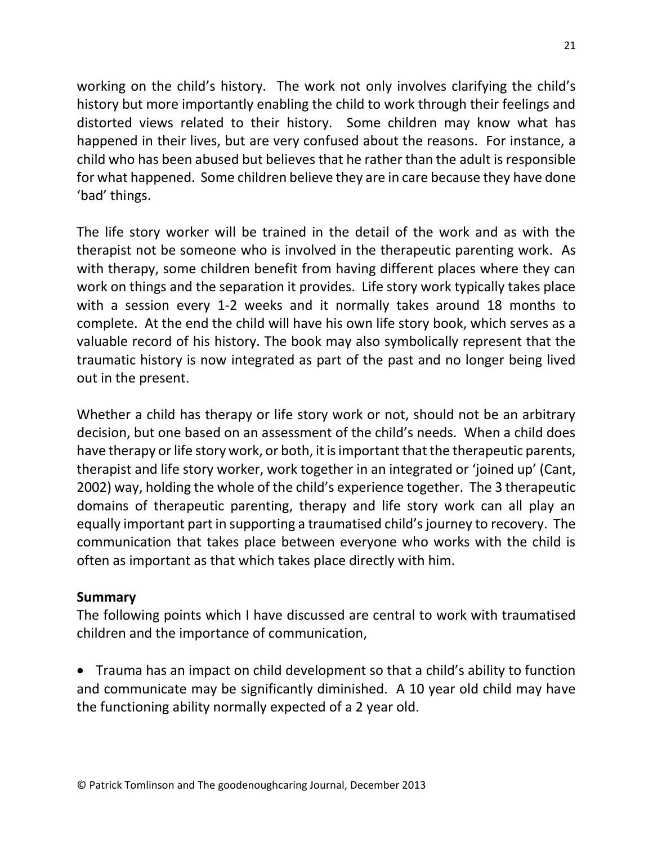working on the child's history. The work not only involves clarifying the child's history but more importantly enabling the child to work through their feelings and distorted views related to their history. Some children may know what has happened in their lives, but are very confused about the reasons. For instance, a child who has been abused but believes that he rather than the adult is responsible for what happened. Some children believe they are in care because they have done 'bad' things.

The life story worker will be trained in the detail of the work and as with the therapist not be someone who is involved in the therapeutic parenting work. As with therapy, some children benefit from having different places where they can work on things and the separation it provides. Life story work typically takes place with a session every 1-2 weeks and it normally takes around 18 months to complete. At the end the child will have his own life story book, which serves as a valuable record of his history. The book may also symbolically represent that the traumatic history is now integrated as part of the past and no longer being lived out in the present.

Whether a child has therapy or life story work or not, should not be an arbitrary decision, but one based on an assessment of the child's needs. When a child does have therapy or life story work, or both, it is important that the therapeutic parents, therapist and life story worker, work together in an integrated or 'joined up' (Cant, 2002) way, holding the whole of the child's experience together. The 3 therapeutic domains of therapeutic parenting, therapy and life story work can all play an equally important part in supporting a traumatised child's journey to recovery. The communication that takes place between everyone who works with the child is often as important as that which takes place directly with him.

## **Summary**

The following points which I have discussed are central to work with traumatised children and the importance of communication,

 Trauma has an impact on child development so that a child's ability to function and communicate may be significantly diminished. A 10 year old child may have the functioning ability normally expected of a 2 year old.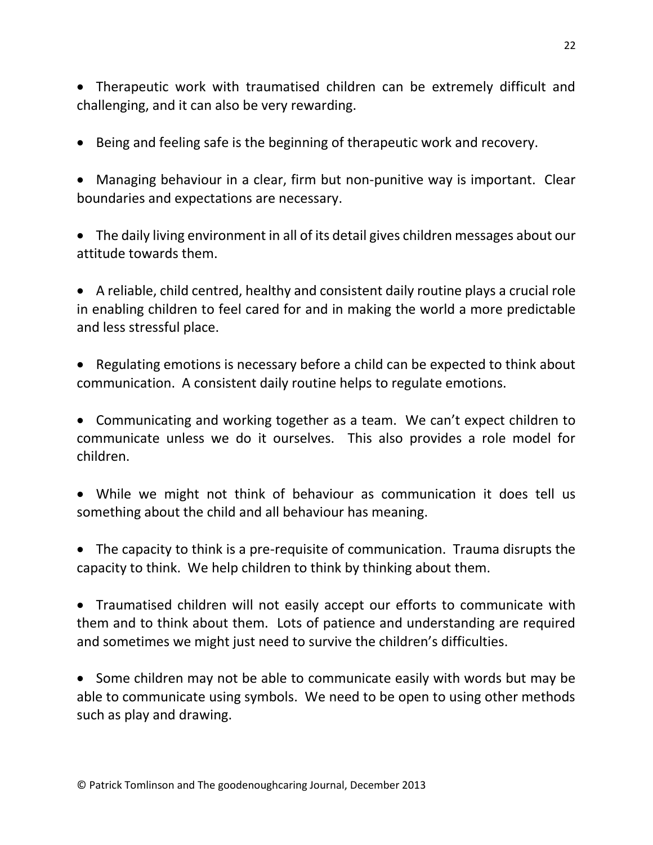Therapeutic work with traumatised children can be extremely difficult and challenging, and it can also be very rewarding.

- Being and feeling safe is the beginning of therapeutic work and recovery.
- Managing behaviour in a clear, firm but non-punitive way is important. Clear boundaries and expectations are necessary.
- The daily living environment in all of its detail gives children messages about our attitude towards them.

 A reliable, child centred, healthy and consistent daily routine plays a crucial role in enabling children to feel cared for and in making the world a more predictable and less stressful place.

 Regulating emotions is necessary before a child can be expected to think about communication. A consistent daily routine helps to regulate emotions.

 Communicating and working together as a team. We can't expect children to communicate unless we do it ourselves. This also provides a role model for children.

- While we might not think of behaviour as communication it does tell us something about the child and all behaviour has meaning.
- The capacity to think is a pre-requisite of communication. Trauma disrupts the capacity to think. We help children to think by thinking about them.

 Traumatised children will not easily accept our efforts to communicate with them and to think about them. Lots of patience and understanding are required and sometimes we might just need to survive the children's difficulties.

• Some children may not be able to communicate easily with words but may be able to communicate using symbols. We need to be open to using other methods such as play and drawing.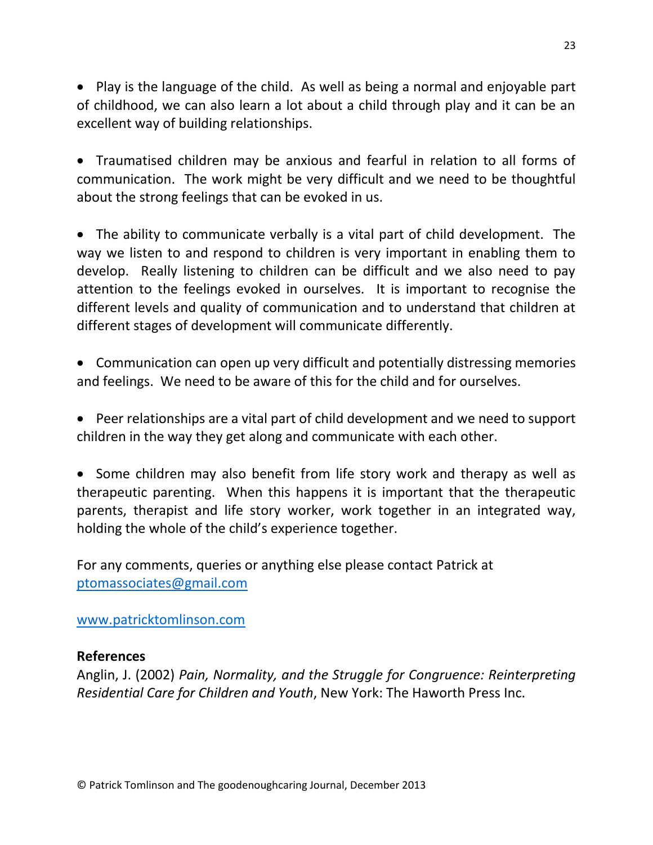• Play is the language of the child. As well as being a normal and enjoyable part of childhood, we can also learn a lot about a child through play and it can be an excellent way of building relationships.

 Traumatised children may be anxious and fearful in relation to all forms of communication. The work might be very difficult and we need to be thoughtful about the strong feelings that can be evoked in us.

 The ability to communicate verbally is a vital part of child development. The way we listen to and respond to children is very important in enabling them to develop. Really listening to children can be difficult and we also need to pay attention to the feelings evoked in ourselves. It is important to recognise the different levels and quality of communication and to understand that children at different stages of development will communicate differently.

 Communication can open up very difficult and potentially distressing memories and feelings. We need to be aware of this for the child and for ourselves.

 Peer relationships are a vital part of child development and we need to support children in the way they get along and communicate with each other.

• Some children may also benefit from life story work and therapy as well as therapeutic parenting. When this happens it is important that the therapeutic parents, therapist and life story worker, work together in an integrated way, holding the whole of the child's experience together.

For any comments, queries or anything else please contact Patrick at [ptomassociates@gmail.com](mailto:ptomassociates@gmail.com)

[www.patricktomlinson.com](http://www.patricktomlinson.com/)

## **References**

Anglin, J. (2002) *Pain, Normality, and the Struggle for Congruence: Reinterpreting Residential Care for Children and Youth*, New York: The Haworth Press Inc.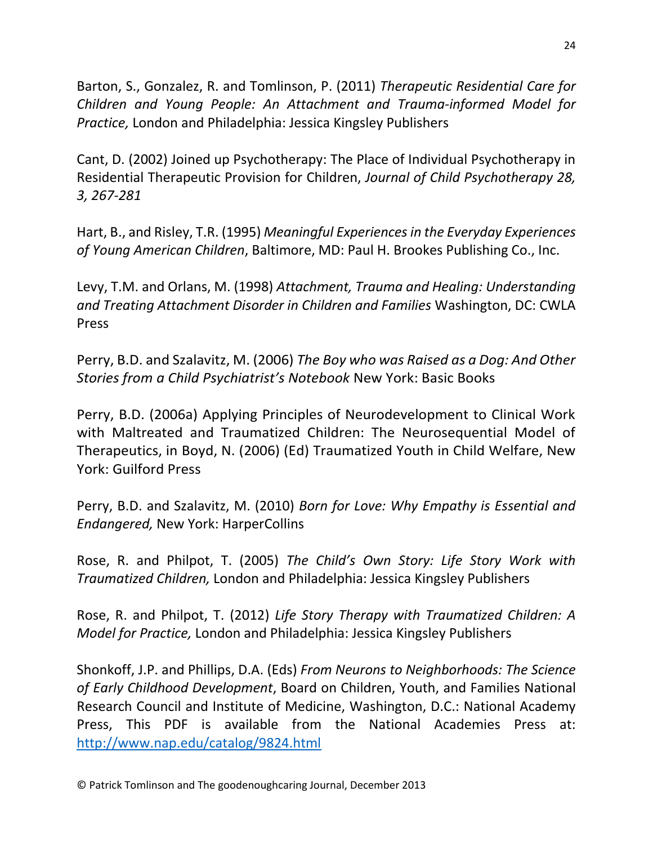Barton, S., Gonzalez, R. and Tomlinson, P. (2011) *[Therapeutic](http://www.linkedin.com/redir/redirect?url=http%3A%2F%2Fwww%2Ejkp%2Ecom%2Fcatalogue%2Fbook%2F9781849052559&urlhash=Wjyh&trk=prof-publication-title-link) Residential Care for Children and Young People: An Attachment and [Trauma-informed](http://www.linkedin.com/redir/redirect?url=http%3A%2F%2Fwww%2Ejkp%2Ecom%2Fcatalogue%2Fbook%2F9781849052559&urlhash=Wjyh&trk=prof-publication-title-link) Model for [Practice,](http://www.linkedin.com/redir/redirect?url=http%3A%2F%2Fwww%2Ejkp%2Ecom%2Fcatalogue%2Fbook%2F9781849052559&urlhash=Wjyh&trk=prof-publication-title-link)* London and Philadelphia: Jessica Kingsley Publishers

Cant, D. (2002) Joined up Psychotherapy: The Place of Individual Psychotherapy in Residential Therapeutic Provision for Children, *Journal of Child Psychotherapy 28, 3, 267-281*

Hart, B., and Risley, T.R. (1995) *Meaningful Experiences in the Everyday Experiences of Young American Children*, Baltimore, MD: Paul H. Brookes Publishing Co., Inc.

Levy, T.M. and Orlans, M. (1998) *Attachment, Trauma and Healing: Understanding and Treating Attachment Disorder in Children and Families* Washington, DC: CWLA Press

Perry, B.D. and Szalavitz, M. (2006) *The Boy who was Raised as a Dog: And Other Stories from a Child Psychiatrist's Notebook* New York: Basic Books

Perry, B.D. (2006a) Applying Principles of Neurodevelopment to Clinical Work with Maltreated and Traumatized Children: The Neurosequential Model of Therapeutics, in Boyd, N. (2006) (Ed) Traumatized Youth in Child Welfare, New York: Guilford Press

Perry, B.D. and Szalavitz, M. (2010) *Born for Love: Why Empathy is Essential and Endangered,* New York: HarperCollins

Rose, R. and Philpot, T. (2005) *The Child's Own Story: Life Story Work with Traumatized Children,* London and Philadelphia: Jessica Kingsley Publishers

Rose, R. and Philpot, T. (2012) *Life Story Therapy with Traumatized Children: A Model for Practice,* London and Philadelphia: Jessica Kingsley Publishers

Shonkoff, J.P. and Phillips, D.A. (Eds) *From Neurons to Neighborhoods: The Science of Early Childhood Development*, Board on Children, Youth, and Families National Research Council and Institute of Medicine, Washington, D.C.: National Academy Press, This PDF is available from the National Academies Press at: <http://www.nap.edu/catalog/9824.html>